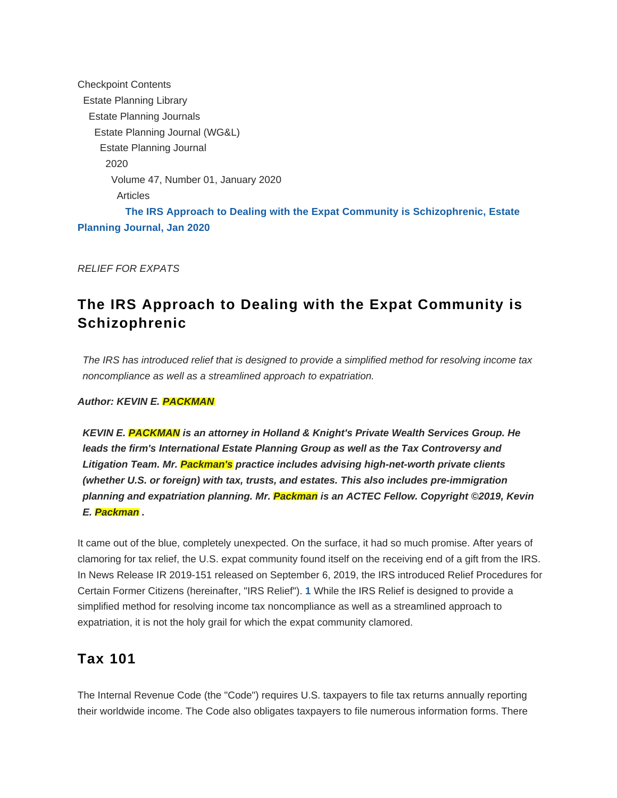Checkpoint Contents Estate Planning Library Estate Planning Journals Estate Planning Journal (WG&L) Estate Planning Journal 2020 Volume 47, Number 01, January 2020 Articles **[The IRS Approach to Dealing with the Expat Community is Schizophrenic, Estate](https://checkpoint.riag.com/app/find?begParm=y&appVer=19.12&dbName=ETPL&linkType=docloc&locId=etpl01202006&ods=ETPL&permaId=i8d177ab3cd2cc833c0d3c3bbabb2dee5&permaType=doc&tagName=STORY&endParm=y) [Planning Journal, Jan 2020](https://checkpoint.riag.com/app/find?begParm=y&appVer=19.12&dbName=ETPL&linkType=docloc&locId=etpl01202006&ods=ETPL&permaId=i8d177ab3cd2cc833c0d3c3bbabb2dee5&permaType=doc&tagName=STORY&endParm=y)**

RELIEF FOR EXPATS

# **The IRS Approach to Dealing with the Expat Community is Schizophrenic**

The IRS has introduced relief that is designed to provide a simplified method for resolving income tax noncompliance as well as a streamlined approach to expatriation.

### **Author: KEVIN E. PACKMAN**

**KEVIN E. PACKMAN is an attorney in Holland & Knight's Private Wealth Services Group. He leads the firm's International Estate Planning Group as well as the Tax Controversy and Litigation Team. Mr. Packman's practice includes advising high-net-worth private clients (whether U.S. or foreign) with tax, trusts, and estates. This also includes pre-immigration planning and expatriation planning. Mr. Packman is an ACTEC Fellow. Copyright ©2019, Kevin E. Packman .**

<span id="page-0-0"></span>It came out of the blue, completely unexpected. On the surface, it had so much promise. After years of clamoring for tax relief, the U.S. expat community found itself on the receiving end of a gift from the IRS. In News Release IR 2019-151 released on September 6, 2019, the IRS introduced Relief Procedures for Certain Former Citizens (hereinafter, "IRS Relief"). **[1](#page-8-0)** While the IRS Relief is designed to provide a simplified method for resolving income tax noncompliance as well as a streamlined approach to expatriation, it is not the holy grail for which the expat community clamored.

# **Tax 101**

The Internal Revenue Code (the "Code") requires U.S. taxpayers to file tax returns annually reporting their worldwide income. The Code also obligates taxpayers to file numerous information forms. There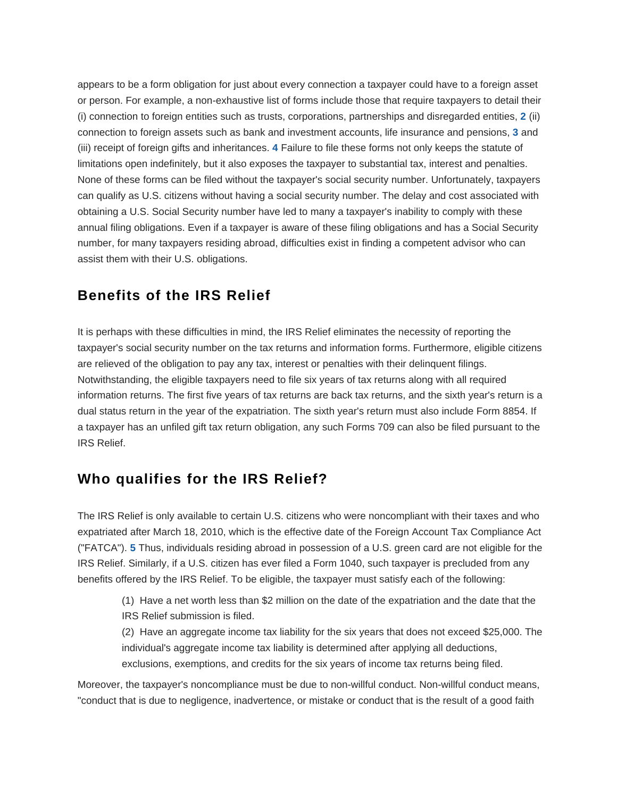<span id="page-1-2"></span><span id="page-1-1"></span><span id="page-1-0"></span>appears to be a form obligation for just about every connection a taxpayer could have to a foreign asset or person. For example, a non-exhaustive list of forms include those that require taxpayers to detail their (i) connection to foreign entities such as trusts, corporations, partnerships and disregarded entities, **[2](#page-8-1)** (ii) connection to foreign assets such as bank and investment accounts, life insurance and pensions, **[3](#page-8-2)** and (iii) receipt of foreign gifts and inheritances. **[4](#page-8-3)** Failure to file these forms not only keeps the statute of limitations open indefinitely, but it also exposes the taxpayer to substantial tax, interest and penalties. None of these forms can be filed without the taxpayer's social security number. Unfortunately, taxpayers can qualify as U.S. citizens without having a social security number. The delay and cost associated with obtaining a U.S. Social Security number have led to many a taxpayer's inability to comply with these annual filing obligations. Even if a taxpayer is aware of these filing obligations and has a Social Security number, for many taxpayers residing abroad, difficulties exist in finding a competent advisor who can assist them with their U.S. obligations.

# **Benefits of the IRS Relief**

It is perhaps with these difficulties in mind, the IRS Relief eliminates the necessity of reporting the taxpayer's social security number on the tax returns and information forms. Furthermore, eligible citizens are relieved of the obligation to pay any tax, interest or penalties with their delinquent filings. Notwithstanding, the eligible taxpayers need to file six years of tax returns along with all required information returns. The first five years of tax returns are back tax returns, and the sixth year's return is a dual status return in the year of the expatriation. The sixth year's return must also include Form 8854. If a taxpayer has an unfiled gift tax return obligation, any such Forms 709 can also be filed pursuant to the IRS Relief.

# **Who qualifies for the IRS Relief?**

<span id="page-1-3"></span>The IRS Relief is only available to certain U.S. citizens who were noncompliant with their taxes and who expatriated after March 18, 2010, which is the effective date of the Foreign Account Tax Compliance Act ("FATCA"). **[5](#page-8-4)** Thus, individuals residing abroad in possession of a U.S. green card are not eligible for the IRS Relief. Similarly, if a U.S. citizen has ever filed a Form 1040, such taxpayer is precluded from any benefits offered by the IRS Relief. To be eligible, the taxpayer must satisfy each of the following:

(1) Have a net worth less than \$2 million on the date of the expatriation and the date that the IRS Relief submission is filed.

(2) Have an aggregate income tax liability for the six years that does not exceed \$25,000. The individual's aggregate income tax liability is determined after applying all deductions, exclusions, exemptions, and credits for the six years of income tax returns being filed.

Moreover, the taxpayer's noncompliance must be due to non-willful conduct. Non-willful conduct means, "conduct that is due to negligence, inadvertence, or mistake or conduct that is the result of a good faith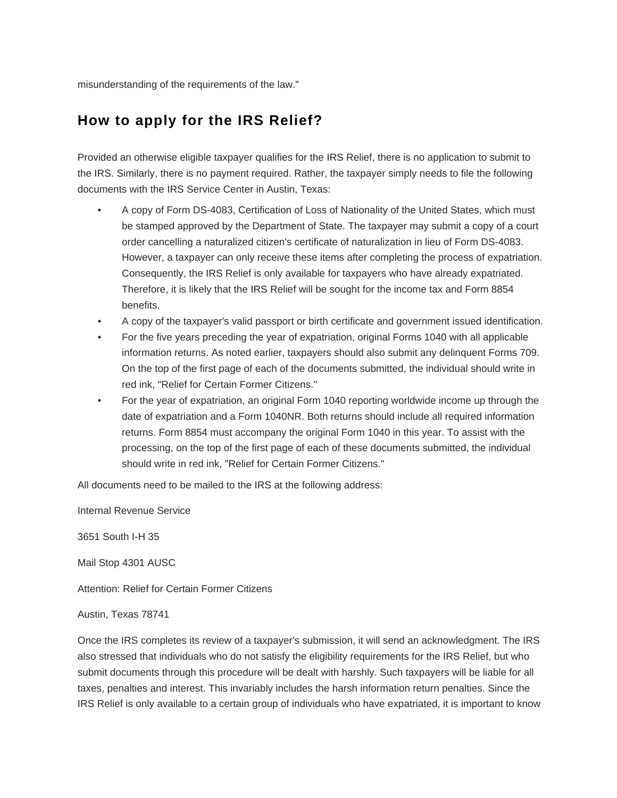misunderstanding of the requirements of the law."

# **How to apply for the IRS Relief?**

Provided an otherwise eligible taxpayer qualifies for the IRS Relief, there is no application to submit to the IRS. Similarly, there is no payment required. Rather, the taxpayer simply needs to file the following documents with the IRS Service Center in Austin, Texas:

- A copy of Form DS-4083, Certification of Loss of Nationality of the United States, which must be stamped approved by the Department of State. The taxpayer may submit a copy of a court order cancelling a naturalized citizen's certificate of naturalization in lieu of Form DS-4083. However, a taxpayer can only receive these items after completing the process of expatriation. Consequently, the IRS Relief is only available for taxpayers who have already expatriated. Therefore, it is likely that the IRS Relief will be sought for the income tax and Form 8854 benefits.
- A copy of the taxpayer's valid passport or birth certificate and government issued identification.
- For the five years preceding the year of expatriation, original Forms 1040 with all applicable information returns. As noted earlier, taxpayers should also submit any delinquent Forms 709. On the top of the first page of each of the documents submitted, the individual should write in red ink, "Relief for Certain Former Citizens."
- For the year of expatriation, an original Form 1040 reporting worldwide income up through the date of expatriation and a Form 1040NR. Both returns should include all required information returns. Form 8854 must accompany the original Form 1040 in this year. To assist with the processing, on the top of the first page of each of these documents submitted, the individual should write in red ink, "Relief for Certain Former Citizens."

All documents need to be mailed to the IRS at the following address:

Internal Revenue Service

3651 South I-H 35

Mail Stop 4301 AUSC

Attention: Relief for Certain Former Citizens

#### Austin, Texas 78741

Once the IRS completes its review of a taxpayer's submission, it will send an acknowledgment. The IRS also stressed that individuals who do not satisfy the eligibility requirements for the IRS Relief, but who submit documents through this procedure will be dealt with harshly. Such taxpayers will be liable for all taxes, penalties and interest. This invariably includes the harsh information return penalties. Since the IRS Relief is only available to a certain group of individuals who have expatriated, it is important to know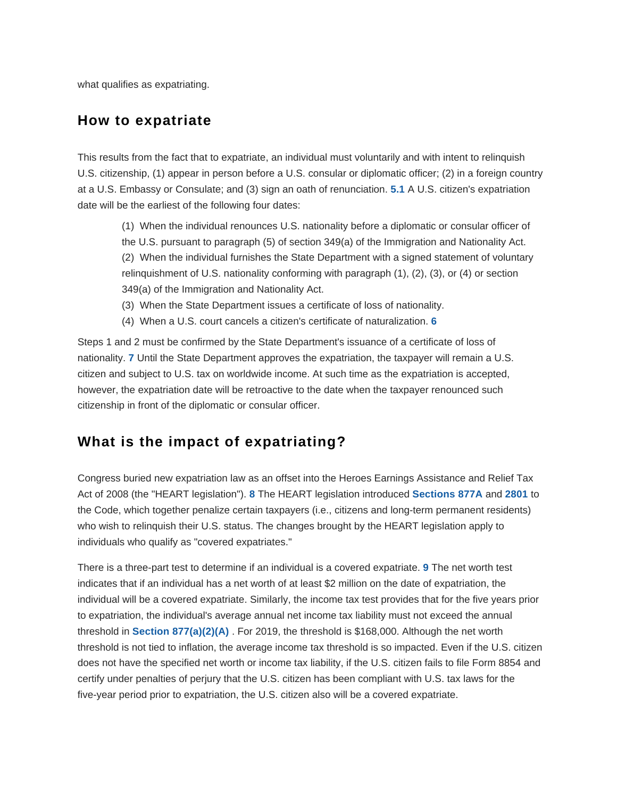what qualifies as expatriating.

### **How to expatriate**

<span id="page-3-0"></span>This results from the fact that to expatriate, an individual must voluntarily and with intent to relinquish U.S. citizenship, (1) appear in person before a U.S. consular or diplomatic officer; (2) in a foreign country at a U.S. Embassy or Consulate; and (3) sign an oath of renunciation. **[5.1](#page-8-5)** A U.S. citizen's expatriation date will be the earliest of the following four dates:

(1) When the individual renounces U.S. nationality before a diplomatic or consular officer of the U.S. pursuant to paragraph (5) of section 349(a) of the Immigration and Nationality Act. (2) When the individual furnishes the State Department with a signed statement of voluntary relinquishment of U.S. nationality conforming with paragraph (1), (2), (3), or (4) or section 349(a) of the Immigration and Nationality Act.

- (3) When the State Department issues a certificate of loss of nationality.
- (4) When a U.S. court cancels a citizen's certificate of naturalization. **[6](#page-8-6)**

<span id="page-3-2"></span><span id="page-3-1"></span>Steps 1 and 2 must be confirmed by the State Department's issuance of a certificate of loss of nationality. **[7](#page-8-7)** Until the State Department approves the expatriation, the taxpayer will remain a U.S. citizen and subject to U.S. tax on worldwide income. At such time as the expatriation is accepted, however, the expatriation date will be retroactive to the date when the taxpayer renounced such citizenship in front of the diplomatic or consular officer.

## **What is the impact of expatriating?**

<span id="page-3-3"></span>Congress buried new expatriation law as an offset into the Heroes Earnings Assistance and Relief Tax Act of 2008 (the "HEART legislation"). **[8](#page-8-8)** The HEART legislation introduced **[Sections 877A](https://checkpoint.riag.com/app/find?begParm=y&app.version=19.12&dbName=TCODE&linkType=docloc&locId=26uscas877a&permaId=i6ab243ca2ce211dd88d0c7f8ee2eaa77&tagName=SEC&endParm=y)** and **[2801](https://checkpoint.riag.com/app/find?begParm=y&app.version=19.12&dbName=TCODE&linkType=docloc&locId=2801&permaId=ie014b5942ce211ddba12c7f8ee2eaa77&tagName=SEC&endParm=y)** to the Code, which together penalize certain taxpayers (i.e., citizens and long-term permanent residents) who wish to relinquish their U.S. status. The changes brought by the HEART legislation apply to individuals who qualify as "covered expatriates."

<span id="page-3-4"></span>There is a three-part test to determine if an individual is a covered expatriate. **[9](#page-8-9)** The net worth test indicates that if an individual has a net worth of at least \$2 million on the date of expatriation, the individual will be a covered expatriate. Similarly, the income tax test provides that for the five years prior to expatriation, the individual's average annual net income tax liability must not exceed the annual threshold in **[Section 877\(a\)\(2\)\(A\)](https://checkpoint.riag.com/app/find?begParm=y&app.version=19.12&dbName=TCODE&linkType=docloc&locId=us_fed_26_usc_877%28a%29%282%29%28a%29&permaId=idf7af36019d711dcb1a9c7f8ee2eaa77&tagName=SBPARA&endParm=y)** . For 2019, the threshold is \$168,000. Although the net worth threshold is not tied to inflation, the average income tax threshold is so impacted. Even if the U.S. citizen does not have the specified net worth or income tax liability, if the U.S. citizen fails to file Form 8854 and certify under penalties of perjury that the U.S. citizen has been compliant with U.S. tax laws for the five-year period prior to expatriation, the U.S. citizen also will be a covered expatriate.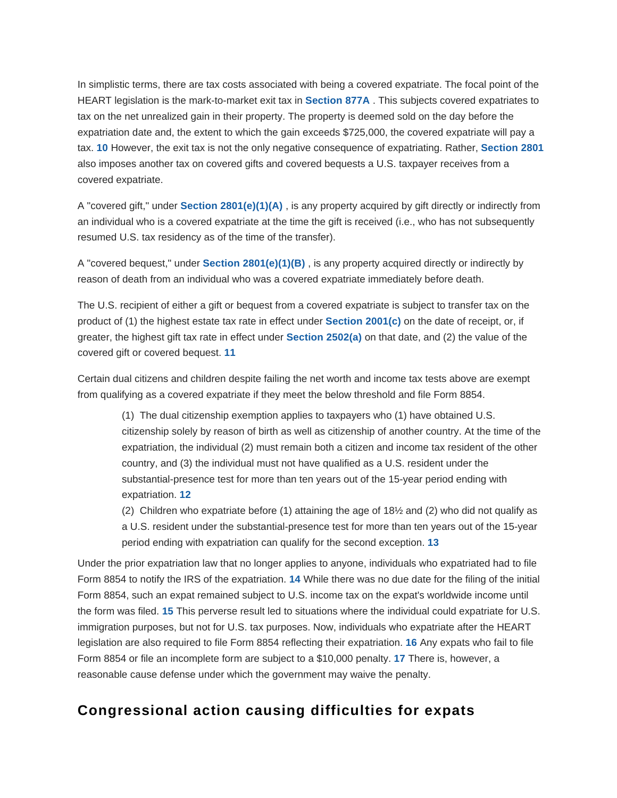<span id="page-4-0"></span>In simplistic terms, there are tax costs associated with being a covered expatriate. The focal point of the HEART legislation is the mark-to-market exit tax in **[Section 877A](https://checkpoint.riag.com/app/find?begParm=y&app.version=19.12&dbName=TCODE&linkType=docloc&locId=26uscas877a&permaId=i6ab243ca2ce211dd88d0c7f8ee2eaa77&tagName=SEC&endParm=y)** . This subjects covered expatriates to tax on the net unrealized gain in their property. The property is deemed sold on the day before the expatriation date and, the extent to which the gain exceeds \$725,000, the covered expatriate will pay a tax. **[10](#page-8-10)** However, the exit tax is not the only negative consequence of expatriating. Rather, **[Section 2801](https://checkpoint.riag.com/app/find?begParm=y&app.version=19.12&dbName=TCODE&linkType=docloc&locId=2801&permaId=ie014b5942ce211ddba12c7f8ee2eaa77&tagName=SEC&endParm=y)** also imposes another tax on covered gifts and covered bequests a U.S. taxpayer receives from a covered expatriate.

A "covered gift," under **[Section 2801\(e\)\(1\)\(A\)](https://checkpoint.riag.com/app/find?begParm=y&app.version=19.12&dbName=TCODE&linkType=docloc&locId=2801%28e%29%281%29%28a%29&permaId=ie014b5942ce211ddba12c7f8ee2eaa77&tagName=SBPARA&endParm=y)** , is any property acquired by gift directly or indirectly from an individual who is a covered expatriate at the time the gift is received (i.e., who has not subsequently resumed U.S. tax residency as of the time of the transfer).

A "covered bequest," under **[Section 2801\(e\)\(1\)\(B\)](https://checkpoint.riag.com/app/find?begParm=y&app.version=19.12&dbName=TCODE&linkType=docloc&locId=2801%28e%29%281%29%28b%29&permaId=ie014b5942ce211ddba12c7f8ee2eaa77&tagName=SBPARA&endParm=y)** , is any property acquired directly or indirectly by reason of death from an individual who was a covered expatriate immediately before death.

The U.S. recipient of either a gift or bequest from a covered expatriate is subject to transfer tax on the product of (1) the highest estate tax rate in effect under **[Section 2001\(c\)](https://checkpoint.riag.com/app/find?begParm=y&app.version=19.12&dbName=TCODE&linkType=docloc&locId=26uscas2001%28c%29&permaId=ic675738a7d9d44c5f7d4e1c3431a0106&tagName=SBSEC&endParm=y)** on the date of receipt, or, if greater, the highest gift tax rate in effect under **[Section 2502\(a\)](https://checkpoint.riag.com/app/find?begParm=y&app.version=19.12&dbName=TCODE&linkType=docloc&locId=2502%28a%29&permaId=ibbba47ffd8a268ddd91eee835a73c302&tagName=SBSEC&endParm=y)** on that date, and (2) the value of the covered gift or covered bequest. **[11](#page-8-11)**

<span id="page-4-1"></span>Certain dual citizens and children despite failing the net worth and income tax tests above are exempt from qualifying as a covered expatriate if they meet the below threshold and file Form 8854.

(1) The dual citizenship exemption applies to taxpayers who (1) have obtained U.S. citizenship solely by reason of birth as well as citizenship of another country. At the time of the expatriation, the individual (2) must remain both a citizen and income tax resident of the other country, and (3) the individual must not have qualified as a U.S. resident under the substantial-presence test for more than ten years out of the 15-year period ending with expatriation. **[12](#page-8-12)**

<span id="page-4-2"></span>(2) Children who expatriate before (1) attaining the age of 18½ and (2) who did not qualify as a U.S. resident under the substantial-presence test for more than ten years out of the 15-year period ending with expatriation can qualify for the second exception. **[13](#page-8-13)**

<span id="page-4-6"></span><span id="page-4-5"></span><span id="page-4-4"></span><span id="page-4-3"></span>Under the prior expatriation law that no longer applies to anyone, individuals who expatriated had to file Form 8854 to notify the IRS of the expatriation. **[14](#page-8-14)** While there was no due date for the filing of the initial Form 8854, such an expat remained subject to U.S. income tax on the expat's worldwide income until the form was filed. **[15](#page-8-15)** This perverse result led to situations where the individual could expatriate for U.S. immigration purposes, but not for U.S. tax purposes. Now, individuals who expatriate after the HEART legislation are also required to file Form 8854 reflecting their expatriation. **[16](#page-8-16)** Any expats who fail to file Form 8854 or file an incomplete form are subject to a \$10,000 penalty. **[17](#page-9-0)** There is, however, a reasonable cause defense under which the government may waive the penalty.

# <span id="page-4-7"></span>**Congressional action causing difficulties for expats**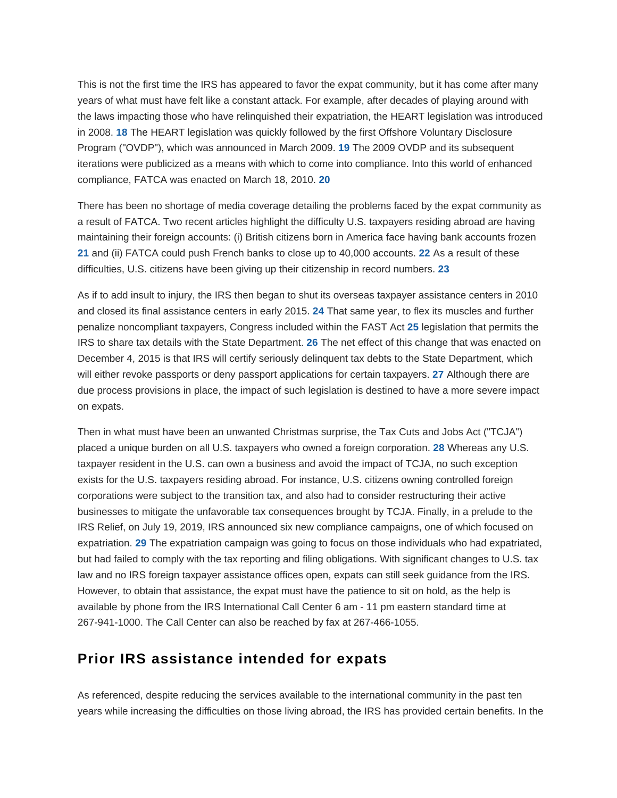<span id="page-5-1"></span><span id="page-5-0"></span>This is not the first time the IRS has appeared to favor the expat community, but it has come after many years of what must have felt like a constant attack. For example, after decades of playing around with the laws impacting those who have relinquished their expatriation, the HEART legislation was introduced in 2008. **[18](#page-9-1)** The HEART legislation was quickly followed by the first Offshore Voluntary Disclosure Program ("OVDP"), which was announced in March 2009. **[19](#page-9-2)** The 2009 OVDP and its subsequent iterations were publicized as a means with which to come into compliance. Into this world of enhanced compliance, FATCA was enacted on March 18, 2010. **[20](#page-9-3)**

<span id="page-5-4"></span><span id="page-5-3"></span><span id="page-5-2"></span>There has been no shortage of media coverage detailing the problems faced by the expat community as a result of FATCA. Two recent articles highlight the difficulty U.S. taxpayers residing abroad are having maintaining their foreign accounts: (i) British citizens born in America face having bank accounts frozen **[21](#page-9-4)** and (ii) FATCA could push French banks to close up to 40,000 accounts. **[22](#page-9-5)** As a result of these difficulties, U.S. citizens have been giving up their citizenship in record numbers. **[23](#page-9-6)**

<span id="page-5-8"></span><span id="page-5-7"></span><span id="page-5-6"></span><span id="page-5-5"></span>As if to add insult to injury, the IRS then began to shut its overseas taxpayer assistance centers in 2010 and closed its final assistance centers in early 2015. **[24](#page-9-7)** That same year, to flex its muscles and further penalize noncompliant taxpayers, Congress included within the FAST Act **[25](#page-9-8)** legislation that permits the IRS to share tax details with the State Department. **[26](#page-9-9)** The net effect of this change that was enacted on December 4, 2015 is that IRS will certify seriously delinquent tax debts to the State Department, which will either revoke passports or deny passport applications for certain taxpayers. **[27](#page-9-10)** Although there are due process provisions in place, the impact of such legislation is destined to have a more severe impact on expats.

<span id="page-5-11"></span><span id="page-5-10"></span><span id="page-5-9"></span>Then in what must have been an unwanted Christmas surprise, the Tax Cuts and Jobs Act ("TCJA") placed a unique burden on all U.S. taxpayers who owned a foreign corporation. **[28](#page-9-11)** Whereas any U.S. taxpayer resident in the U.S. can own a business and avoid the impact of TCJA, no such exception exists for the U.S. taxpayers residing abroad. For instance, U.S. citizens owning controlled foreign corporations were subject to the transition tax, and also had to consider restructuring their active businesses to mitigate the unfavorable tax consequences brought by TCJA. Finally, in a prelude to the IRS Relief, on July 19, 2019, IRS announced six new compliance campaigns, one of which focused on expatriation. **[29](#page-9-12)** The expatriation campaign was going to focus on those individuals who had expatriated, but had failed to comply with the tax reporting and filing obligations. With significant changes to U.S. tax law and no IRS foreign taxpayer assistance offices open, expats can still seek guidance from the IRS. However, to obtain that assistance, the expat must have the patience to sit on hold, as the help is available by phone from the IRS International Call Center 6 am - 11 pm eastern standard time at 267-941-1000. The Call Center can also be reached by fax at 267-466-1055.

# **Prior IRS assistance intended for expats**

As referenced, despite reducing the services available to the international community in the past ten years while increasing the difficulties on those living abroad, the IRS has provided certain benefits. In the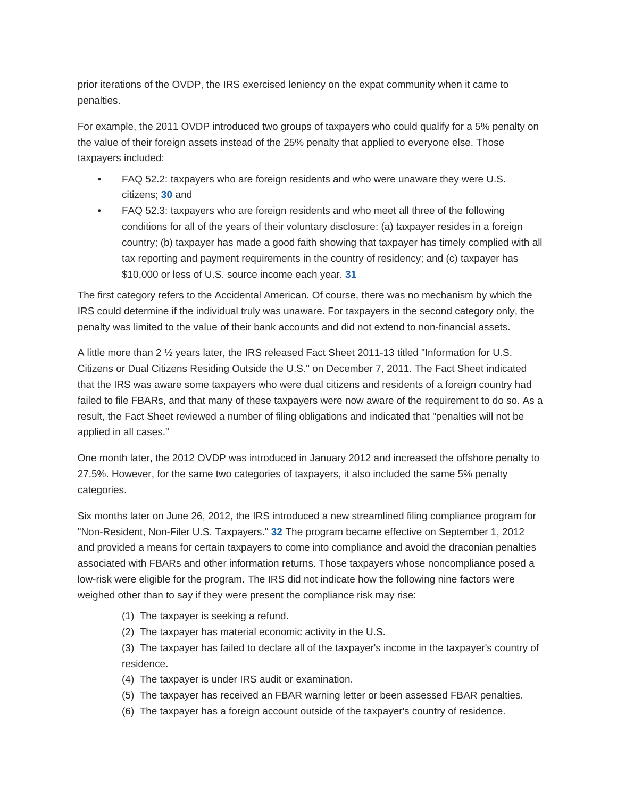prior iterations of the OVDP, the IRS exercised leniency on the expat community when it came to penalties.

For example, the 2011 OVDP introduced two groups of taxpayers who could qualify for a 5% penalty on the value of their foreign assets instead of the 25% penalty that applied to everyone else. Those taxpayers included:

- <span id="page-6-0"></span>• FAQ 52.2: taxpayers who are foreign residents and who were unaware they were U.S. citizens; **[30](#page-9-13)** and
- FAQ 52.3: taxpayers who are foreign residents and who meet all three of the following conditions for all of the years of their voluntary disclosure: (a) taxpayer resides in a foreign country; (b) taxpayer has made a good faith showing that taxpayer has timely complied with all tax reporting and payment requirements in the country of residency; and (c) taxpayer has \$10,000 or less of U.S. source income each year. **[31](#page-9-14)**

<span id="page-6-1"></span>The first category refers to the Accidental American. Of course, there was no mechanism by which the IRS could determine if the individual truly was unaware. For taxpayers in the second category only, the penalty was limited to the value of their bank accounts and did not extend to non-financial assets.

A little more than 2 ½ years later, the IRS released Fact Sheet 2011-13 titled "Information for U.S. Citizens or Dual Citizens Residing Outside the U.S." on December 7, 2011. The Fact Sheet indicated that the IRS was aware some taxpayers who were dual citizens and residents of a foreign country had failed to file FBARs, and that many of these taxpayers were now aware of the requirement to do so. As a result, the Fact Sheet reviewed a number of filing obligations and indicated that "penalties will not be applied in all cases."

One month later, the 2012 OVDP was introduced in January 2012 and increased the offshore penalty to 27.5%. However, for the same two categories of taxpayers, it also included the same 5% penalty categories.

<span id="page-6-2"></span>Six months later on June 26, 2012, the IRS introduced a new streamlined filing compliance program for "Non-Resident, Non-Filer U.S. Taxpayers." **[32](#page-10-0)** The program became effective on September 1, 2012 and provided a means for certain taxpayers to come into compliance and avoid the draconian penalties associated with FBARs and other information returns. Those taxpayers whose noncompliance posed a low-risk were eligible for the program. The IRS did not indicate how the following nine factors were weighed other than to say if they were present the compliance risk may rise:

- (1) The taxpayer is seeking a refund.
- (2) The taxpayer has material economic activity in the U.S.

(3) The taxpayer has failed to declare all of the taxpayer's income in the taxpayer's country of residence.

- (4) The taxpayer is under IRS audit or examination.
- (5) The taxpayer has received an FBAR warning letter or been assessed FBAR penalties.
- (6) The taxpayer has a foreign account outside of the taxpayer's country of residence.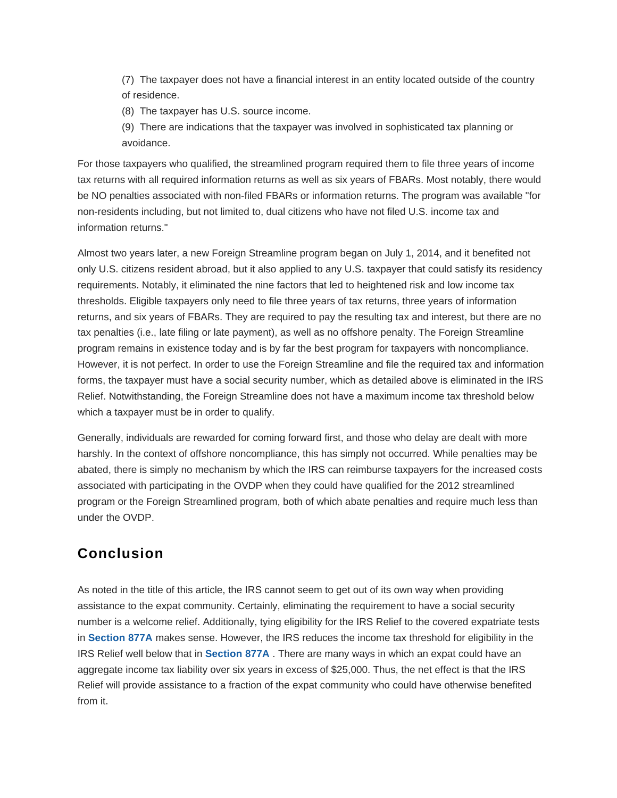(7) The taxpayer does not have a financial interest in an entity located outside of the country of residence.

(8) The taxpayer has U.S. source income.

(9) There are indications that the taxpayer was involved in sophisticated tax planning or avoidance.

For those taxpayers who qualified, the streamlined program required them to file three years of income tax returns with all required information returns as well as six years of FBARs. Most notably, there would be NO penalties associated with non-filed FBARs or information returns. The program was available "for non-residents including, but not limited to, dual citizens who have not filed U.S. income tax and information returns."

Almost two years later, a new Foreign Streamline program began on July 1, 2014, and it benefited not only U.S. citizens resident abroad, but it also applied to any U.S. taxpayer that could satisfy its residency requirements. Notably, it eliminated the nine factors that led to heightened risk and low income tax thresholds. Eligible taxpayers only need to file three years of tax returns, three years of information returns, and six years of FBARs. They are required to pay the resulting tax and interest, but there are no tax penalties (i.e., late filing or late payment), as well as no offshore penalty. The Foreign Streamline program remains in existence today and is by far the best program for taxpayers with noncompliance. However, it is not perfect. In order to use the Foreign Streamline and file the required tax and information forms, the taxpayer must have a social security number, which as detailed above is eliminated in the IRS Relief. Notwithstanding, the Foreign Streamline does not have a maximum income tax threshold below which a taxpayer must be in order to qualify.

Generally, individuals are rewarded for coming forward first, and those who delay are dealt with more harshly. In the context of offshore noncompliance, this has simply not occurred. While penalties may be abated, there is simply no mechanism by which the IRS can reimburse taxpayers for the increased costs associated with participating in the OVDP when they could have qualified for the 2012 streamlined program or the Foreign Streamlined program, both of which abate penalties and require much less than under the OVDP.

# **Conclusion**

As noted in the title of this article, the IRS cannot seem to get out of its own way when providing assistance to the expat community. Certainly, eliminating the requirement to have a social security number is a welcome relief. Additionally, tying eligibility for the IRS Relief to the covered expatriate tests in **[Section 877A](https://checkpoint.riag.com/app/find?begParm=y&app.version=19.12&dbName=TCODE&linkType=docloc&locId=26uscas877a&permaId=i6ab243ca2ce211dd88d0c7f8ee2eaa77&tagName=SEC&endParm=y)** makes sense. However, the IRS reduces the income tax threshold for eligibility in the IRS Relief well below that in **[Section 877A](https://checkpoint.riag.com/app/find?begParm=y&app.version=19.12&dbName=TCODE&linkType=docloc&locId=26uscas877a&permaId=i6ab243ca2ce211dd88d0c7f8ee2eaa77&tagName=SEC&endParm=y)** . There are many ways in which an expat could have an aggregate income tax liability over six years in excess of \$25,000. Thus, the net effect is that the IRS Relief will provide assistance to a fraction of the expat community who could have otherwise benefited from it.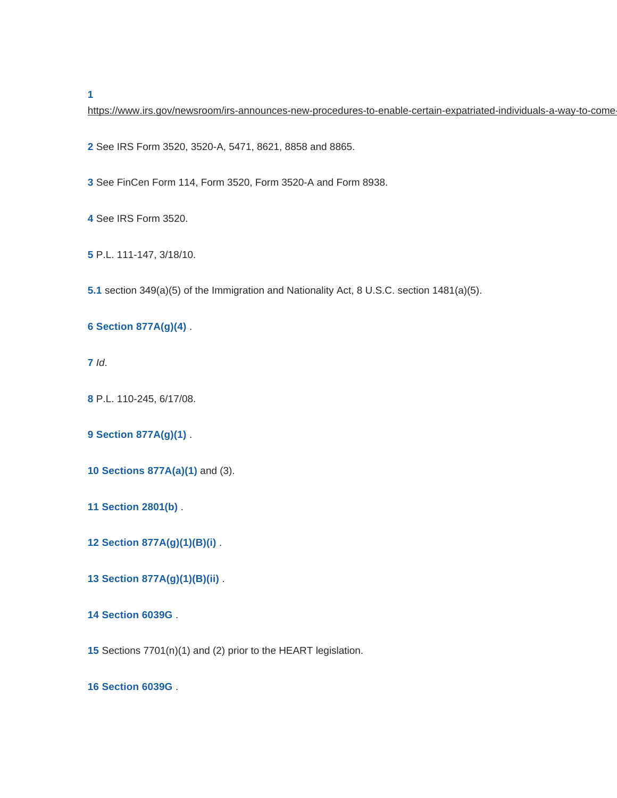<span id="page-8-0"></span>

https://www.irs.gov/newsroom/irs-announces-new-procedures-to-enable-certain-expatriated-individuals-a-way-to-come

<span id="page-8-1"></span>See IRS Form 3520, 3520-A, 5471, 8621, 8858 and 8865.

<span id="page-8-2"></span>See FinCen Form 114, Form 3520, Form 3520-A and Form 8938.

<span id="page-8-3"></span>See IRS Form 3520.

<span id="page-8-4"></span>P.L. 111-147, 3/18/10.

<span id="page-8-5"></span>**[5.1](#page-3-0)** section 349(a)(5) of the Immigration and Nationality Act, 8 U.S.C. section 1481(a)(5).

### <span id="page-8-6"></span> **[Section 877A\(g\)\(4\)](https://checkpoint.riag.com/app/find?begParm=y&app.version=19.12&dbName=TCODE&linkType=docloc&locId=26uscas877a%28g%29%284%29&permaId=i6ab243ca2ce211dd88d0c7f8ee2eaa77&tagName=PARA&endParm=y)** .

<span id="page-8-7"></span>Id.

<span id="page-8-8"></span>P.L. 110-245, 6/17/08.

### <span id="page-8-9"></span> **[Section 877A\(g\)\(1\)](https://checkpoint.riag.com/app/find?begParm=y&app.version=19.12&dbName=TCODE&linkType=docloc&locId=877a%28g%29%281%29&permaId=i6ab243ca2ce211dd88d0c7f8ee2eaa77&tagName=PARA&endParm=y)** .

- <span id="page-8-10"></span> **[Sections 877A\(a\)\(1\)](https://checkpoint.riag.com/app/find?begParm=y&app.version=19.12&dbName=TCODE&linkType=docloc&locId=us_fed_26_usc_877a%28a%29%281%29&permaId=i6ab243ca2ce211dd88d0c7f8ee2eaa77&tagName=PARA&endParm=y)** and (3).
- <span id="page-8-11"></span> **[Section 2801\(b\)](https://checkpoint.riag.com/app/find?begParm=y&app.version=19.12&dbName=TCODE&linkType=docloc&locId=us_fed_26_usc_2801%28b%29&permaId=ie014b5942ce211ddba12c7f8ee2eaa77&tagName=SBSEC&endParm=y)** .
- <span id="page-8-12"></span> **[Section 877A\(g\)\(1\)\(B\)\(i\)](https://checkpoint.riag.com/app/find?begParm=y&app.version=19.12&dbName=TCODE&linkType=docloc&locId=us_fed_26_usc_877a%28g%29%281%29%28b%29%28i%29&permaId=i6ab243ca2ce211dd88d0c7f8ee2eaa77&tagName=CL&endParm=y)** .
- <span id="page-8-13"></span> **[Section 877A\(g\)\(1\)\(B\)\(ii\)](https://checkpoint.riag.com/app/find?begParm=y&app.version=19.12&dbName=TCODE&linkType=docloc&locId=26uscas877a%28g%29%281%29%28b%29%28ii%29&permaId=i6ab243ca2ce211dd88d0c7f8ee2eaa77&tagName=CL&endParm=y)** .
- <span id="page-8-14"></span> **[Section 6039G](https://checkpoint.riag.com/app/find?begParm=y&app.version=19.12&dbName=TCODE&linkType=docloc&locId=6039g&permaId=i467de86a19d811dcb1a9c7f8ee2eaa77&tagName=SEC&endParm=y)** .
- <span id="page-8-15"></span>Sections 7701(n)(1) and (2) prior to the HEART legislation.

<span id="page-8-16"></span> **[Section 6039G](https://checkpoint.riag.com/app/find?begParm=y&app.version=19.12&dbName=TCODE&linkType=docloc&locId=6039g&permaId=i467de86a19d811dcb1a9c7f8ee2eaa77&tagName=SEC&endParm=y)** .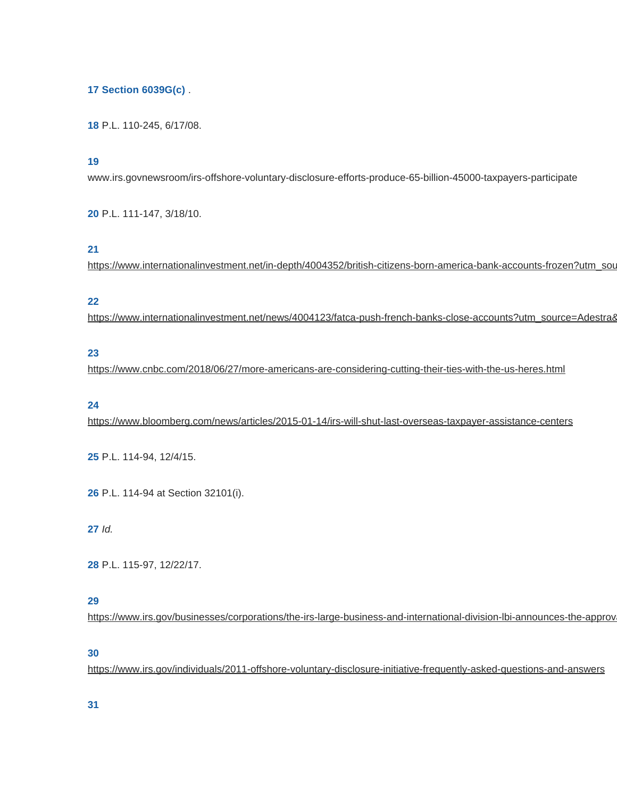### <span id="page-9-0"></span> **[Section 6039G\(c\)](https://checkpoint.riag.com/app/find?begParm=y&app.version=19.12&dbName=TCODE&linkType=docloc&locId=6039g%28c%29&permaId=i467de86a19d811dcb1a9c7f8ee2eaa77&tagName=SBSEC&endParm=y)** .

<span id="page-9-1"></span>P.L. 110-245, 6/17/08.

#### <span id="page-9-2"></span>

www.irs.govnewsroom/irs-offshore-voluntary-disclosure-efforts-produce-65-billion-45000-taxpayers-participate

<span id="page-9-3"></span>P.L. 111-147, 3/18/10.

### <span id="page-9-4"></span>

https://www.internationalinvestment.net/in-depth/4004352/british-citizens-born-america-bank-accounts-frozen?utm\_sou

### <span id="page-9-5"></span>

https://www.internationalinvestment.net/news/4004123/fatca-push-french-banks-close-accounts?utm\_source=Adestra&

#### <span id="page-9-6"></span>

https://www.cnbc.com/2018/06/27/more-americans-are-considering-cutting-their-ties-with-the-us-heres.html

### <span id="page-9-7"></span>

https://www.bloomberg.com/news/articles/2015-01-14/irs-will-shut-last-overseas-taxpayer-assistance-centers

<span id="page-9-8"></span>P.L. 114-94, 12/4/15.

<span id="page-9-9"></span>P.L. 114-94 at Section 32101(i).

<span id="page-9-10"></span>Id.

<span id="page-9-11"></span>P.L. 115-97, 12/22/17.

### <span id="page-9-12"></span>

https://www.irs.gov/businesses/corporations/the-irs-large-business-and-international-division-lbi-announces-the-approv

#### <span id="page-9-13"></span>

https://www.irs.gov/individuals/2011-offshore-voluntary-disclosure-initiative-frequently-asked-questions-and-answers

<span id="page-9-14"></span>